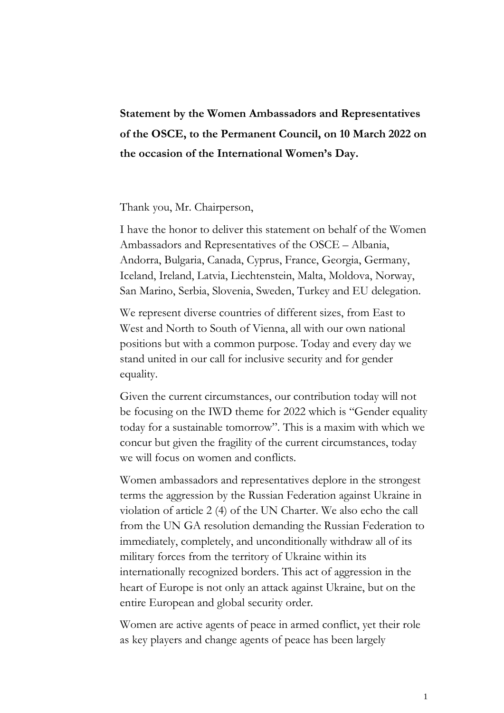## **Statement by the Women Ambassadors and Representatives of the OSCE, to the Permanent Council, on 10 March 2022 on the occasion of the International Women's Day.**

## Thank you, Mr. Chairperson,

I have the honor to deliver this statement on behalf of the Women Ambassadors and Representatives of the OSCE – Albania, Andorra, Bulgaria, Canada, Cyprus, France, Georgia, Germany, Iceland, Ireland, Latvia, Liechtenstein, Malta, Moldova, Norway, San Marino, Serbia, Slovenia, Sweden, Turkey and EU delegation.

We represent diverse countries of different sizes, from East to West and North to South of Vienna, all with our own national positions but with a common purpose. Today and every day we stand united in our call for inclusive security and for gender equality.

Given the current circumstances, our contribution today will not be focusing on the IWD theme for 2022 which is "Gender equality today for a sustainable tomorrow". This is a maxim with which we concur but given the fragility of the current circumstances, today we will focus on women and conflicts.

Women ambassadors and representatives deplore in the strongest terms the aggression by the Russian Federation against Ukraine in violation of article 2 (4) of the UN Charter. We also echo the call from the UN GA resolution demanding the Russian Federation to immediately, completely, and unconditionally withdraw all of its military forces from the territory of Ukraine within its internationally recognized borders. This act of aggression in the heart of Europe is not only an attack against Ukraine, but on the entire European and global security order.

Women are active agents of peace in armed conflict, yet their role as key players and change agents of peace has been largely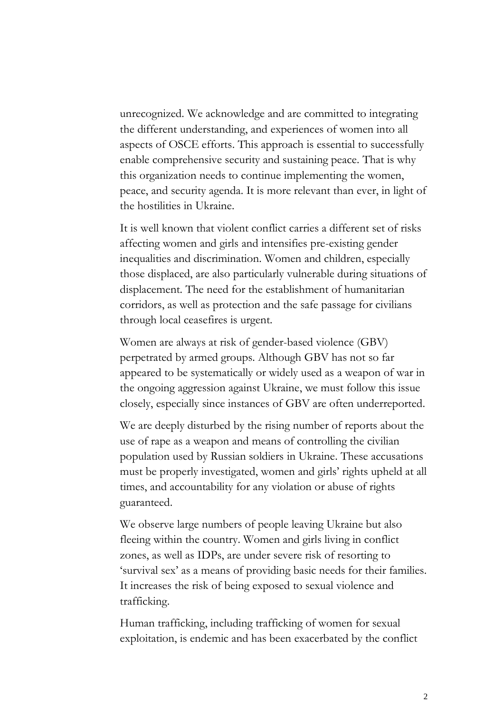unrecognized. We acknowledge and are committed to integrating the different understanding, and experiences of women into all aspects of OSCE efforts. This approach is essential to successfully enable comprehensive security and sustaining peace. That is why this organization needs to continue implementing the women, peace, and security agenda. It is more relevant than ever, in light of the hostilities in Ukraine.

It is well known that violent conflict carries a different set of risks affecting women and girls and intensifies pre-existing gender inequalities and discrimination. Women and children, especially those displaced, are also particularly vulnerable during situations of displacement. The need for the establishment of humanitarian corridors, as well as protection and the safe passage for civilians through local ceasefires is urgent.

Women are always at risk of gender-based violence (GBV) perpetrated by armed groups. Although GBV has not so far appeared to be systematically or widely used as a weapon of war in the ongoing aggression against Ukraine, we must follow this issue closely, especially since instances of GBV are often underreported.

We are deeply disturbed by the rising number of reports about the use of rape as a weapon and means of controlling the civilian population used by Russian soldiers in Ukraine. These accusations must be properly investigated, women and girls' rights upheld at all times, and accountability for any violation or abuse of rights guaranteed.

We observe large numbers of people leaving Ukraine but also fleeing within the country. Women and girls living in conflict zones, as well as IDPs, are under severe risk of resorting to 'survival sex' as a means of providing basic needs for their families. It increases the risk of being exposed to sexual violence and trafficking.

Human trafficking, including trafficking of women for sexual exploitation, is endemic and has been exacerbated by the conflict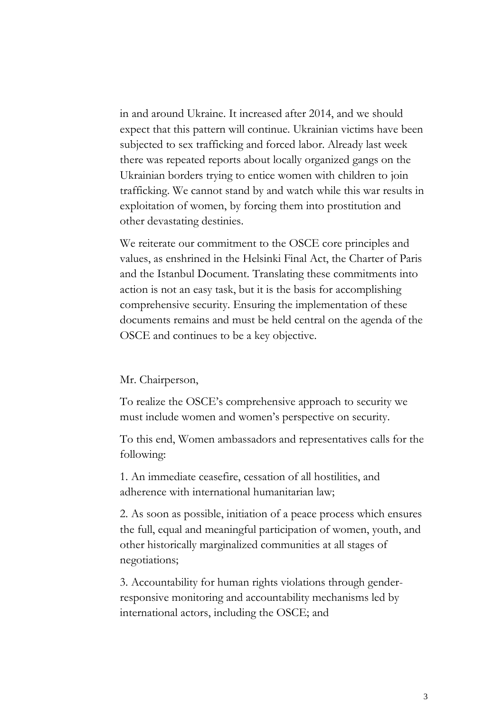in and around Ukraine. It increased after 2014, and we should expect that this pattern will continue. Ukrainian victims have been subjected to sex trafficking and forced labor. Already last week there was repeated reports about locally organized gangs on the Ukrainian borders trying to entice women with children to join trafficking. We cannot stand by and watch while this war results in exploitation of women, by forcing them into prostitution and other devastating destinies.

We reiterate our commitment to the OSCE core principles and values, as enshrined in the Helsinki Final Act, the Charter of Paris and the Istanbul Document. Translating these commitments into action is not an easy task, but it is the basis for accomplishing comprehensive security. Ensuring the implementation of these documents remains and must be held central on the agenda of the OSCE and continues to be a key objective.

## Mr. Chairperson,

To realize the OSCE's comprehensive approach to security we must include women and women's perspective on security.

To this end, Women ambassadors and representatives calls for the following:

1. An immediate ceasefire, cessation of all hostilities, and adherence with international humanitarian law;

2. As soon as possible, initiation of a peace process which ensures the full, equal and meaningful participation of women, youth, and other historically marginalized communities at all stages of negotiations;

3. Accountability for human rights violations through genderresponsive monitoring and accountability mechanisms led by international actors, including the OSCE; and